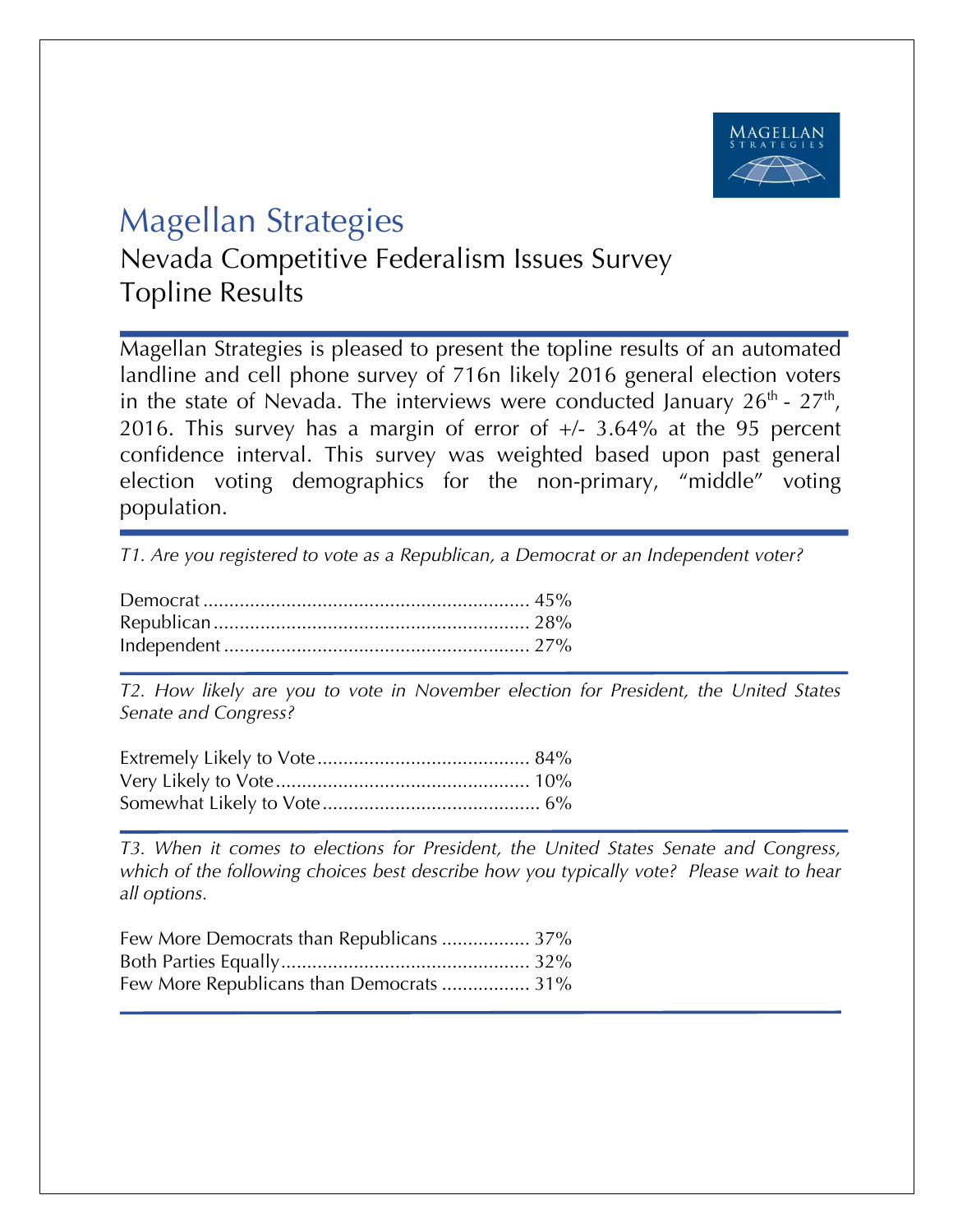

## Magellan Strategies

Nevada Competitive Federalism Issues Survey Topline Results

Magellan Strategies is pleased to present the topline results of an automated landline and cell phone survey of 716n likely 2016 general election voters in the state of Nevada. The interviews were conducted January  $26<sup>th</sup>$  -  $27<sup>th</sup>$ , 2016. This survey has a margin of error of  $+/- 3.64\%$  at the 95 percent confidence interval. This survey was weighted based upon past general election voting demographics for the non-primary, "middle" voting population.

*T1. Are you registered to vote as a Republican, a Democrat or an Independent voter?*

*T2. How likely are you to vote in November election for President, the United States Senate and Congress?*

*T3. When it comes to elections for President, the United States Senate and Congress, which of the following choices best describe how you typically vote? Please wait to hear all options.*

| Few More Democrats than Republicans  37% |  |
|------------------------------------------|--|
|                                          |  |
| Few More Republicans than Democrats  31% |  |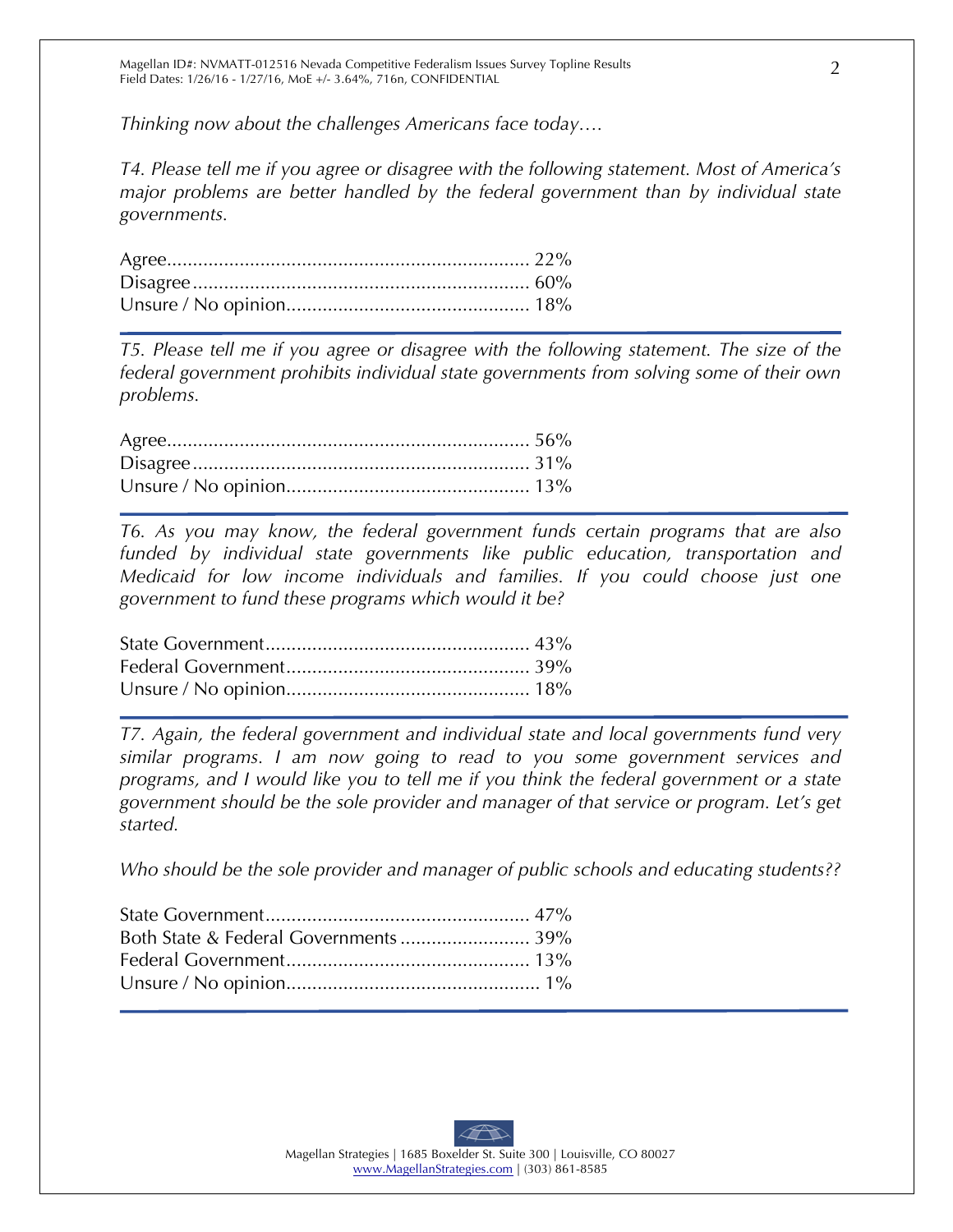*Thinking now about the challenges Americans face today….*

*T4. Please tell me if you agree or disagree with the following statement. Most of America's major problems are better handled by the federal government than by individual state governments.*

*T5. Please tell me if you agree or disagree with the following statement. The size of the federal government prohibits individual state governments from solving some of their own problems.*

*T6. As you may know, the federal government funds certain programs that are also funded by individual state governments like public education, transportation and Medicaid for low income individuals and families. If you could choose just one government to fund these programs which would it be?*

*T7. Again, the federal government and individual state and local governments fund very similar programs. I am now going to read to you some government services and programs, and I would like you to tell me if you think the federal government or a state government should be the sole provider and manager of that service or program. Let's get started.*

*Who should be the sole provider and manager of public schools and educating students??*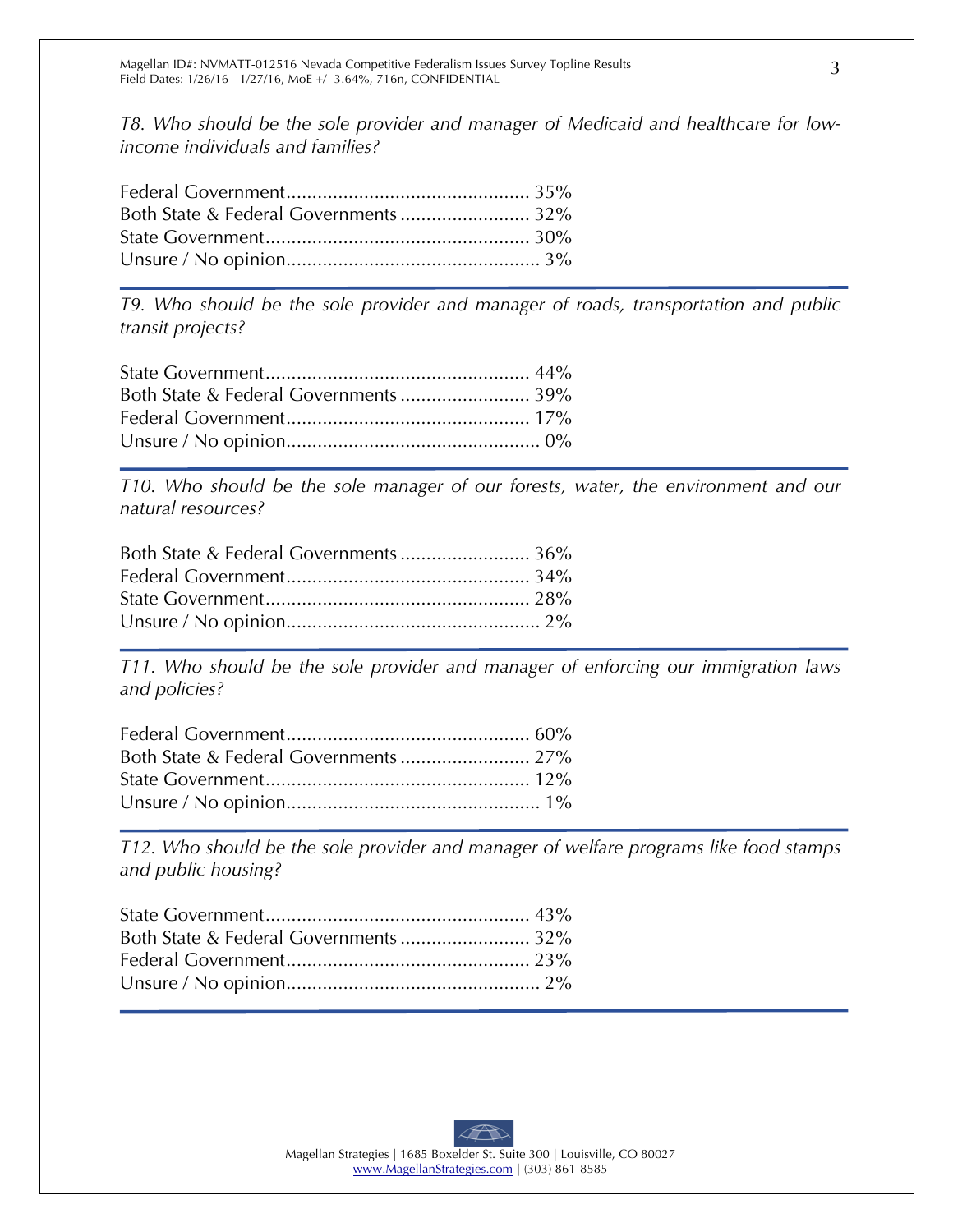*T8. Who should be the sole provider and manager of Medicaid and healthcare for lowincome individuals and families?*

*T9. Who should be the sole provider and manager of roads, transportation and public transit projects?*

*T10. Who should be the sole manager of our forests, water, the environment and our natural resources?*

| Both State & Federal Governments  36% |
|---------------------------------------|
|                                       |
|                                       |
|                                       |
|                                       |

*T11. Who should be the sole provider and manager of enforcing our immigration laws and policies?*

*T12. Who should be the sole provider and manager of welfare programs like food stamps and public housing?*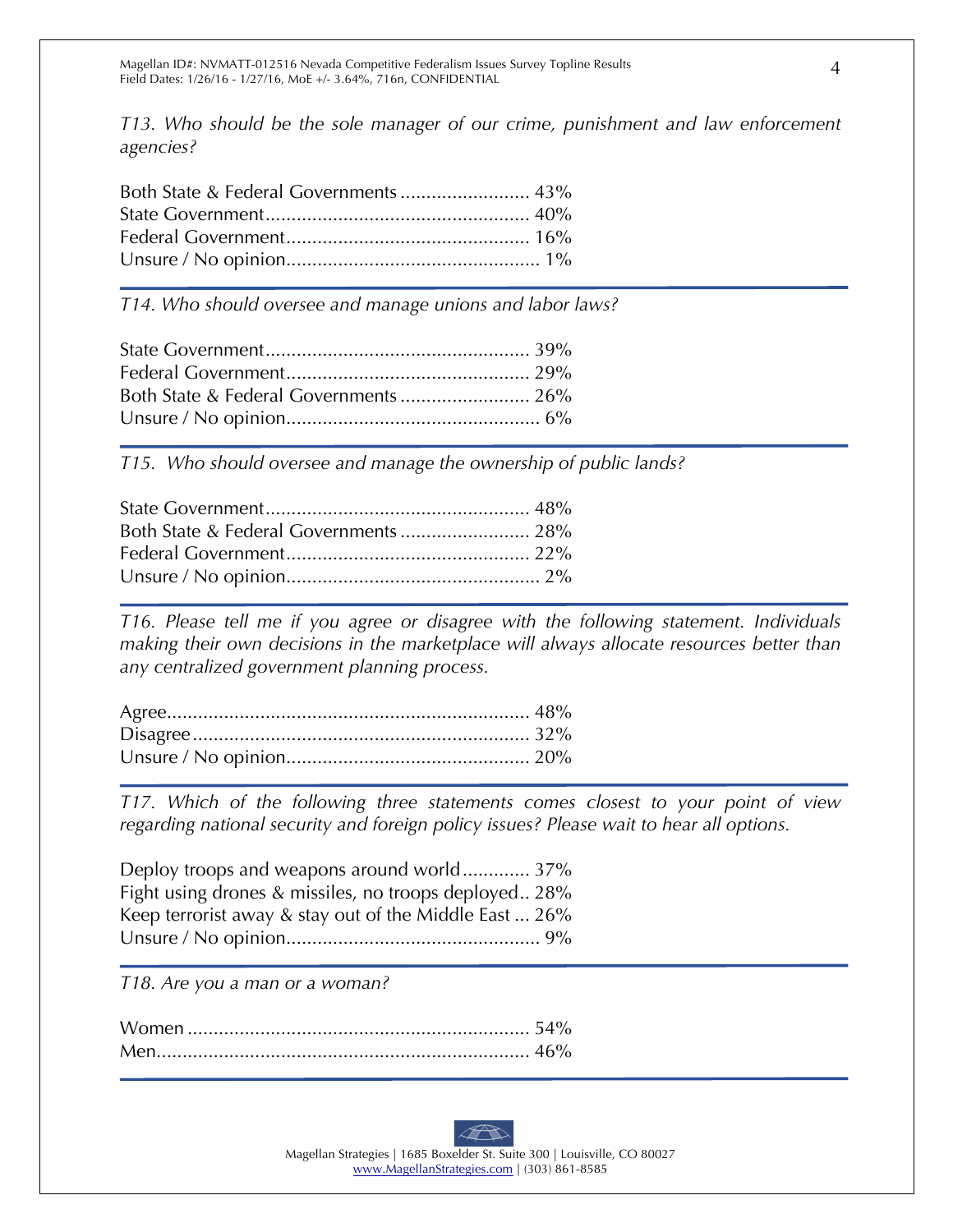*T13. Who should be the sole manager of our crime, punishment and law enforcement agencies?*

| Both State & Federal Governments  43% |
|---------------------------------------|
|                                       |
|                                       |
|                                       |
|                                       |

*T14. Who should oversee and manage unions and labor laws?*

*T15. Who should oversee and manage the ownership of public lands?* 

*T16. Please tell me if you agree or disagree with the following statement. Individuals making their own decisions in the marketplace will always allocate resources better than any centralized government planning process.*

*T17. Which of the following three statements comes closest to your point of view regarding national security and foreign policy issues? Please wait to hear all options.* 

Deploy troops and weapons around world............. 37% Fight using drones & missiles, no troops deployed.. 28% Keep terrorist away & stay out of the Middle East ... 26% Unsure / No opinion................................................. 9%

*T18. Are you a man or a woman?*



Magellan Strategies | 1685 Boxelder St. Suite 300 | Louisville, CO 80027 www.MagellanStrategies.com | (303) 861-8585